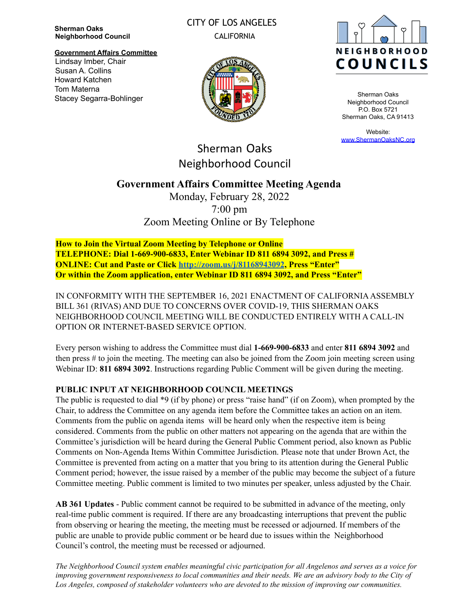**Sherman Oaks Neighborhood Council**

Lindsay Imber, Chair Susan A. Collins Howard Katchen Tom Materna

Stacey Segarra-Bohlinger

**Government Affairs Committee**

# CITY OF LOS ANGELES

CALIFORNIA



Sherman Oaks Neighborhood Council P.O. Box 5721 Sherman Oaks, CA 91413

Website: [www.ShermanOaksNC.org](http://www.shermanoaksnc.org)

Sherman Oaks Neighborhood Council

## **Government Affairs Committee Meeting Agenda**

Monday, February 28, 2022 7:00 pm Zoom Meeting Online or By Telephone

**How to Join the Virtual Zoom Meeting by Telephone or Online TELEPHONE: Dial 1-669-900-6833, Enter Webinar ID 811 6894 3092, and Press # ONLINE: Cut and Paste or Click <http://zoom.us/j/81168943092>, Press "Enter" Or within the Zoom application, enter Webinar ID 811 6894 3092, and Press "Enter"**

IN CONFORMITY WITH THE SEPTEMBER 16, 2021 ENACTMENT OF CALIFORNIAASSEMBLY BILL 361 (RIVAS) AND DUE TO CONCERNS OVER COVID-19, THIS SHERMAN OAKS NEIGHBORHOOD COUNCIL MEETING WILL BE CONDUCTED ENTIRELY WITH A CALL-IN OPTION OR INTERNET-BASED SERVICE OPTION.

Every person wishing to address the Committee must dial **1-669-900-6833** and enter **811 6894 3092** and then press # to join the meeting. The meeting can also be joined from the Zoom join meeting screen using Webinar ID: **811 6894 3092**. Instructions regarding Public Comment will be given during the meeting.

#### **PUBLIC INPUT AT NEIGHBORHOOD COUNCIL MEETINGS**

The public is requested to dial \*9 (if by phone) or press "raise hand" (if on Zoom), when prompted by the Chair, to address the Committee on any agenda item before the Committee takes an action on an item. Comments from the public on agenda items will be heard only when the respective item is being considered. Comments from the public on other matters not appearing on the agenda that are within the Committee's jurisdiction will be heard during the General Public Comment period, also known as Public Comments on Non-Agenda Items Within Committee Jurisdiction. Please note that under Brown Act, the Committee is prevented from acting on a matter that you bring to its attention during the General Public Comment period; however, the issue raised by a member of the public may become the subject of a future Committee meeting. Public comment is limited to two minutes per speaker, unless adjusted by the Chair.

**AB 361 Updates** - Public comment cannot be required to be submitted in advance of the meeting, only real-time public comment is required. If there are any broadcasting interruptions that prevent the public from observing or hearing the meeting, the meeting must be recessed or adjourned. If members of the public are unable to provide public comment or be heard due to issues within the Neighborhood Council's control, the meeting must be recessed or adjourned.

The Neighborhood Council system enables meaningful civic participation for all Angelenos and serves as a voice for improving government responsiveness to local communities and their needs. We are an advisory body to the City of *Los Angeles, composed of stakeholder volunteers who are devoted to the mission of improving our communities.*

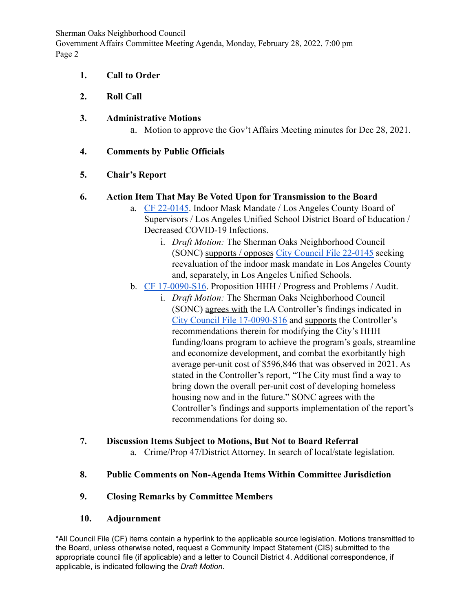Sherman Oaks Neighborhood Council Government Affairs Committee Meeting Agenda, Monday, February 28, 2022, 7:00 pm Page 2

#### **1. Call to Order**

## **2. Roll Call**

## **3. Administrative Motions**

a. Motion to approve the Gov't Affairs Meeting minutes for Dec 28, 2021.

## **4. Comments by Public Officials**

## **5. Chair's Report**

## **6. Action Item That May Be Voted Upon for Transmission to the Board**

- a. [CF 22-0145](https://cityclerk.lacity.org/lacityclerkconnect/index.cfm?fa=ccfi.viewrecord&cfnumber=22-0145). Indoor Mask Mandate / Los Angeles County Board of Supervisors / Los Angeles Unified School District Board of Education / Decreased COVID-19 Infections.
	- i. *Draft Motion:* The Sherman Oaks Neighborhood Council (SONC) supports / opposes [City Council File 22-0145](https://cityclerk.lacity.org/lacityclerkconnect/index.cfm?fa=ccfi.viewrecord&cfnumber=22-0145) seeking reevaluation of the indoor mask mandate in Los Angeles County and, separately, in Los Angeles Unified Schools.
- b. [CF 17-0090-S16](https://cityclerk.lacity.org/lacityclerkconnect/index.cfm?fa=ccfi.viewrecord&cfnumber=17-0090-S16). Proposition HHH / Progress and Problems / Audit.
	- i. *Draft Motion:* The Sherman Oaks Neighborhood Council (SONC) agrees with the LA Controller's findings indicated in [City Council File 17-0090-S16](https://cityclerk.lacity.org/lacityclerkconnect/index.cfm?fa=ccfi.viewrecord&cfnumber=17-0090-S16) and supports the Controller's recommendations therein for modifying the City's HHH funding/loans program to achieve the program's goals, streamline and economize development, and combat the exorbitantly high average per-unit cost of \$596,846 that was observed in 2021. As stated in the Controller's report, "The City must find a way to bring down the overall per-unit cost of developing homeless housing now and in the future." SONC agrees with the Controller's findings and supports implementation of the report's recommendations for doing so.

## **7. Discussion Items Subject to Motions, But Not to Board Referral**

a. Crime/Prop 47/District Attorney. In search of local/state legislation.

## **8. Public Comments on Non-Agenda Items Within Committee Jurisdiction**

## **9. Closing Remarks by Committee Members**

## **10. Adjournment**

\*All Council File (CF) items contain a hyperlink to the applicable source legislation. Motions transmitted to the Board, unless otherwise noted, request a Community Impact Statement (CIS) submitted to the appropriate council file (if applicable) and a letter to Council District 4. Additional correspondence, if applicable, is indicated following the *Draft Motion*.